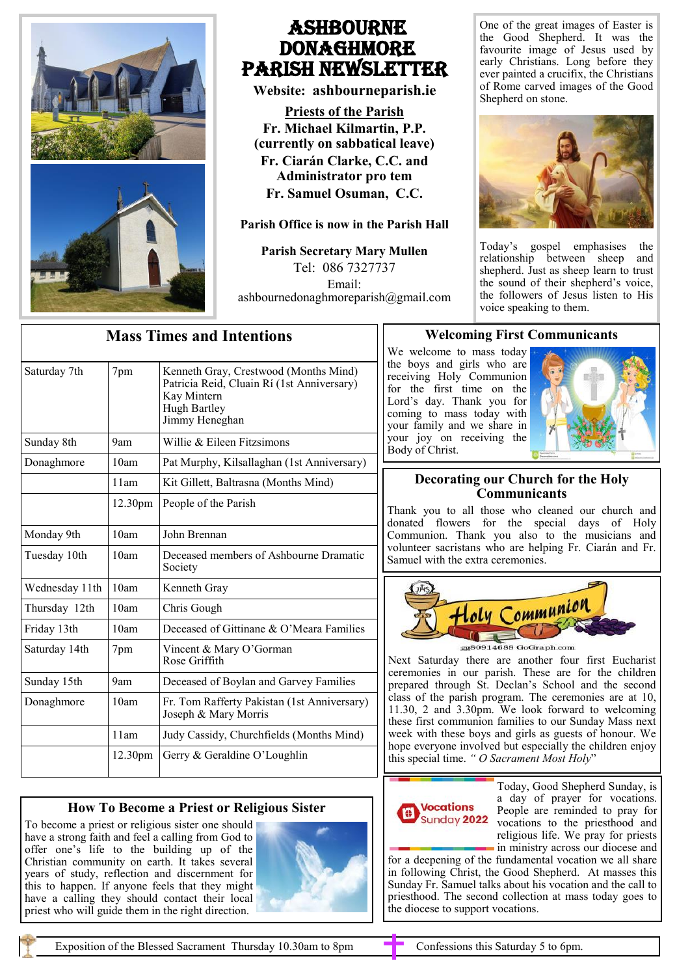

## Ashbourne **DONAGHMORE** Parish NEWSLETTER

**Website: ashbourneparish.ie**

**Priests of the Parish Fr. Michael Kilmartin, P.P. (currently on sabbatical leave) Fr. Ciarán Clarke, C.C. and Administrator pro tem Fr. Samuel Osuman, C.C.**

### **Parish Office is now in the Parish Hall**

**Parish Secretary Mary Mullen** Tel: 086 7327737 Email: ashbournedonaghmoreparish@gmail.com One of the great images of Easter is the Good Shepherd. It was the favourite image of Jesus used by early Christians. Long before they ever painted a crucifix, the Christians of Rome carved images of the Good Shepherd on stone.



Today's gospel emphasises the relationship between sheep and shepherd. Just as sheep learn to trust the sound of their shepherd's voice, the followers of Jesus listen to His voice speaking to them.

| <b>Mass Times and Intentions</b> |         |                                                                                                                                      |
|----------------------------------|---------|--------------------------------------------------------------------------------------------------------------------------------------|
| Saturday 7th                     | 7pm     | Kenneth Gray, Crestwood (Months Mind)<br>Patricia Reid, Cluain Rí (1st Anniversary)<br>Kay Mintern<br>Hugh Bartley<br>Jimmy Heneghan |
| Sunday 8th                       | 9am     | Willie & Eileen Fitzsimons                                                                                                           |
| Donaghmore                       | 10am    | Pat Murphy, Kilsallaghan (1st Anniversary)                                                                                           |
|                                  | 11am    | Kit Gillett, Baltrasna (Months Mind)                                                                                                 |
|                                  | 12.30pm | People of the Parish                                                                                                                 |
| Monday 9th                       | 10am    | John Brennan                                                                                                                         |
| Tuesday 10th                     | 10am    | Deceased members of Ashbourne Dramatic<br>Society                                                                                    |
| Wednesday 11th                   | 10am    | Kenneth Gray                                                                                                                         |
| Thursday 12th                    | 10am    | Chris Gough                                                                                                                          |
| Friday 13th                      | 10am    | Deceased of Gittinane & O'Meara Families                                                                                             |
| Saturday 14th                    | 7pm     | Vincent & Mary O'Gorman<br>Rose Griffith                                                                                             |
| Sunday 15th                      | 9am     | Deceased of Boylan and Garvey Families                                                                                               |
| Donaghmore                       | 10am    | Fr. Tom Rafferty Pakistan (1st Anniversary)<br>Joseph & Mary Morris                                                                  |
|                                  | 11am    | Judy Cassidy, Churchfields (Months Mind)                                                                                             |
|                                  | 12.30pm | Gerry & Geraldine O'Loughlin                                                                                                         |

## **How To Become a Priest or Religious Sister**

To become a priest or religious sister one should have a strong faith and feel a calling from God to offer one's life to the building up of the Christian community on earth. It takes several years of study, reflection and discernment for this to happen. If anyone feels that they might have a calling they should contact their local priest who will guide them in the right direction.



## **Welcoming First Communicants**

We welcome to mass today the boys and girls who are receiving Holy Communion for the first time on the Lord's day. Thank you for coming to mass today with your family and we share in your joy on receiving the Body of Christ.



## **Decorating our Church for the Holy Communicants**

Thank you to all those who cleaned our church and donated flowers for the special days of Holy Communion. Thank you also to the musicians and volunteer sacristans who are helping Fr. Ciarán and Fr. Samuel with the extra ceremonies.



Next Saturday there are another four first Eucharist ceremonies in our parish. These are for the children prepared through St. Declan's School and the second class of the parish program. The ceremonies are at 10, 11.30, 2 and 3.30pm. We look forward to welcoming these first communion families to our Sunday Mass next week with these boys and girls as guests of honour. We hope everyone involved but especially the children enjoy this special time. *" O Sacrament Most Holy*"

# **Vocations** Sunday 2022

Today, Good Shepherd Sunday, is a day of prayer for vocations. People are reminded to pray for vocations to the priesthood and religious life. We pray for priests in ministry across our diocese and

for a deepening of the fundamental vocation we all share in following Christ, the Good Shepherd. At masses this Sunday Fr. Samuel talks about his vocation and the call to priesthood. The second collection at mass today goes to the diocese to support vocations.

Exposition of the Blessed Sacrament Thursday 10.30am to 8pm Confessions this Saturday 5 to 6pm.